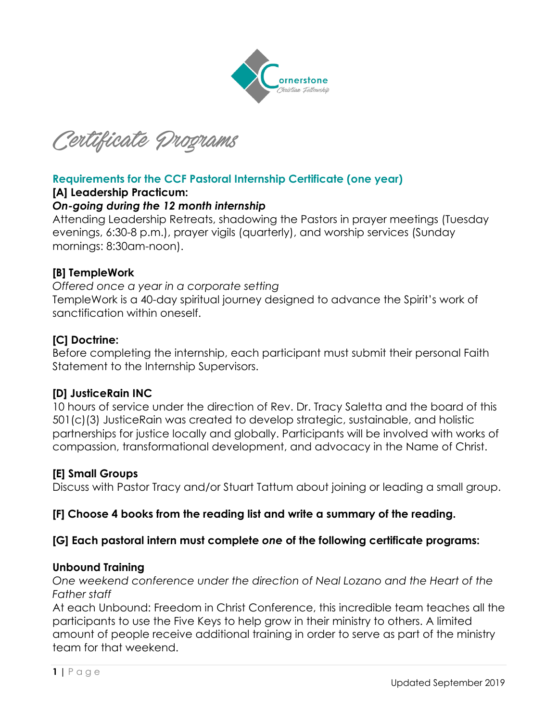

Certificate Programs

# **Requirements for the CCF Pastoral Internship Certificate (one year)**

### **[A] Leadership Practicum:**

### *On-going during the 12 month internship*

Attending Leadership Retreats, shadowing the Pastors in prayer meetings (Tuesday evenings, 6:30-8 p.m.), prayer vigils (quarterly), and worship services (Sunday mornings: 8:30am-noon).

### **[B] TempleWork**

*Offered once a year in a corporate setting* TempleWork is a 40-day spiritual journey designed to advance the Spirit's work of sanctification within oneself.

### **[C] Doctrine:**

Before completing the internship, each participant must submit their personal Faith Statement to the Internship Supervisors.

### **[D] JusticeRain INC**

10 hours of service under the direction of Rev. Dr. Tracy Saletta and the board of this 501(c)(3) JusticeRain was created to develop strategic, sustainable, and holistic partnerships for justice locally and globally. Participants will be involved with works of compassion, transformational development, and advocacy in the Name of Christ.

### **[E] Small Groups**

Discuss with Pastor Tracy and/or Stuart Tattum about joining or leading a small group.

# **[F] Choose 4 books from the reading list and write a summary of the reading.**

### **[G] Each pastoral intern must complete** *one* **of the following certificate programs:**

### **Unbound Training**

*One weekend conference under the direction of Neal Lozano and the Heart of the Father staff*

At each Unbound: Freedom in Christ Conference, this incredible team teaches all the participants to use the Five Keys to help grow in their ministry to others. A limited amount of people receive additional training in order to serve as part of the ministry team for that weekend.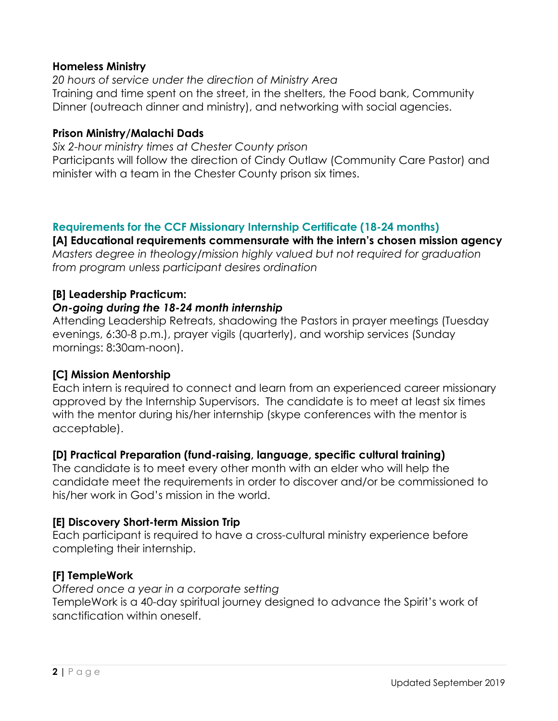### **Homeless Ministry**

*20 hours of service under the direction of Ministry Area* Training and time spent on the street, in the shelters, the Food bank, Community Dinner (outreach dinner and ministry), and networking with social agencies.

### **Prison Ministry/Malachi Dads**

*Six 2-hour ministry times at Chester County prison*  Participants will follow the direction of Cindy Outlaw (Community Care Pastor) and minister with a team in the Chester County prison six times.

### **Requirements for the CCF Missionary Internship Certificate (18-24 months)**

**[A] Educational requirements commensurate with the intern's chosen mission agency**  *Masters degree in theology/mission highly valued but not required for graduation from program unless participant desires ordination*

### **[B] Leadership Practicum:**

### *On-going during the 18-24 month internship*

Attending Leadership Retreats, shadowing the Pastors in prayer meetings (Tuesday evenings, 6:30-8 p.m.), prayer vigils (quarterly), and worship services (Sunday mornings: 8:30am-noon).

### **[C] Mission Mentorship**

Each intern is required to connect and learn from an experienced career missionary approved by the Internship Supervisors. The candidate is to meet at least six times with the mentor during his/her internship (skype conferences with the mentor is acceptable).

# **[D] Practical Preparation (fund-raising, language, specific cultural training)**

The candidate is to meet every other month with an elder who will help the candidate meet the requirements in order to discover and/or be commissioned to his/her work in God's mission in the world.

# **[E] Discovery Short-term Mission Trip**

Each participant is required to have a cross-cultural ministry experience before completing their internship.

# **[F] TempleWork**

*Offered once a year in a corporate setting* TempleWork is a 40-day spiritual journey designed to advance the Spirit's work of sanctification within oneself.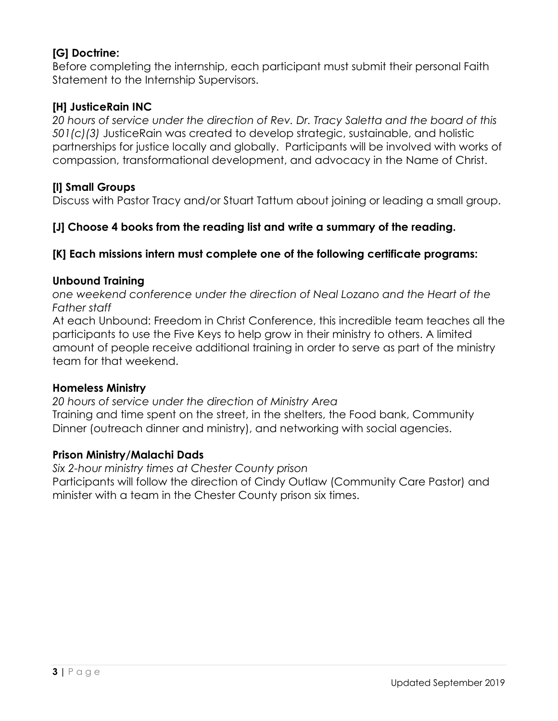# **[G] Doctrine:**

Before completing the internship, each participant must submit their personal Faith Statement to the Internship Supervisors.

# **[H] JusticeRain INC**

*20 hours of service under the direction of Rev. Dr. Tracy Saletta and the board of this 501(c)(3)* JusticeRain was created to develop strategic, sustainable, and holistic partnerships for justice locally and globally. Participants will be involved with works of compassion, transformational development, and advocacy in the Name of Christ.

# **[I] Small Groups**

Discuss with Pastor Tracy and/or Stuart Tattum about joining or leading a small group.

# **[J] Choose 4 books from the reading list and write a summary of the reading.**

# **[K] Each missions intern must complete one of the following certificate programs:**

# **Unbound Training**

*one weekend conference under the direction of Neal Lozano and the Heart of the Father staff*

At each Unbound: Freedom in Christ Conference, this incredible team teaches all the participants to use the Five Keys to help grow in their ministry to others. A limited amount of people receive additional training in order to serve as part of the ministry team for that weekend.

### **Homeless Ministry**

*20 hours of service under the direction of Ministry Area* Training and time spent on the street, in the shelters, the Food bank, Community Dinner (outreach dinner and ministry), and networking with social agencies.

# **Prison Ministry/Malachi Dads**

*Six 2-hour ministry times at Chester County prison*  Participants will follow the direction of Cindy Outlaw (Community Care Pastor) and minister with a team in the Chester County prison six times.